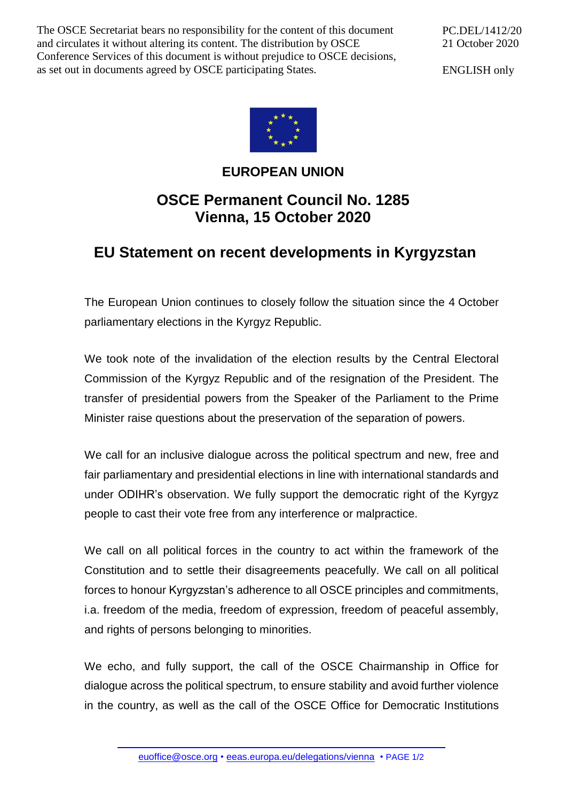The OSCE Secretariat bears no responsibility for the content of this document and circulates it without altering its content. The distribution by OSCE Conference Services of this document is without prejudice to OSCE decisions, as set out in documents agreed by OSCE participating States.

PC.DEL/1412/20 21 October 2020

ENGLISH only



## **EUROPEAN UNION**

## **OSCE Permanent Council No. 1285 Vienna, 15 October 2020**

## **EU Statement on recent developments in Kyrgyzstan**

The European Union continues to closely follow the situation since the 4 October parliamentary elections in the Kyrgyz Republic.

We took note of the invalidation of the election results by the Central Electoral Commission of the Kyrgyz Republic and of the resignation of the President. The transfer of presidential powers from the Speaker of the Parliament to the Prime Minister raise questions about the preservation of the separation of powers.

We call for an inclusive dialogue across the political spectrum and new, free and fair parliamentary and presidential elections in line with international standards and under ODIHR's observation. We fully support the democratic right of the Kyrgyz people to cast their vote free from any interference or malpractice.

We call on all political forces in the country to act within the framework of the Constitution and to settle their disagreements peacefully. We call on all political forces to honour Kyrgyzstan's adherence to all OSCE principles and commitments, i.a. freedom of the media, freedom of expression, freedom of peaceful assembly, and rights of persons belonging to minorities.

We echo, and fully support, the call of the OSCE Chairmanship in Office for dialogue across the political spectrum, to ensure stability and avoid further violence in the country, as well as the call of the OSCE Office for Democratic Institutions